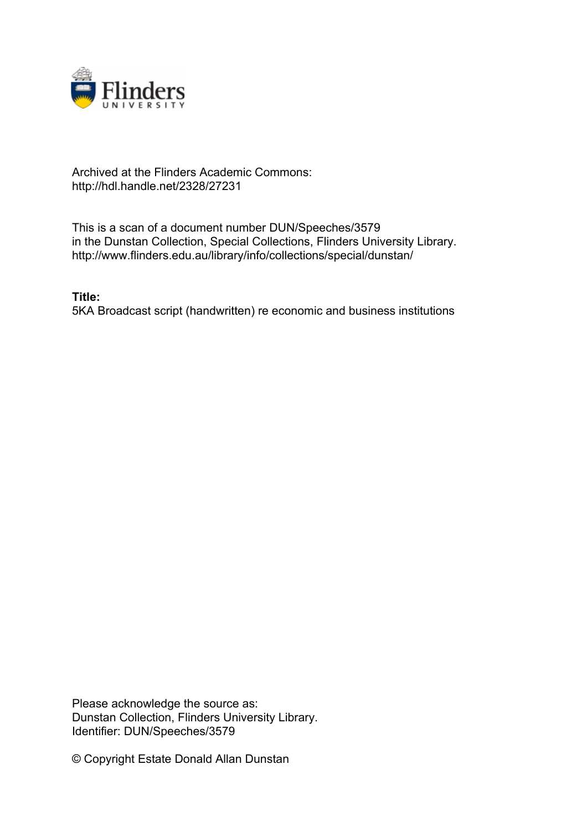

## Archived at the Flinders Academic Commons: http://hdl.handle.net/2328/27231

This is a scan of a document number DUN/Speeches/3579 in the Dunstan Collection, Special Collections, Flinders University Library. http://www.flinders.edu.au/library/info/collections/special/dunstan/

**Title:** 5KA Broadcast script (handwritten) re economic and business institutions

Please acknowledge the source as: Dunstan Collection, Flinders University Library. Identifier: DUN/Speeches/3579

© Copyright Estate Donald Allan Dunstan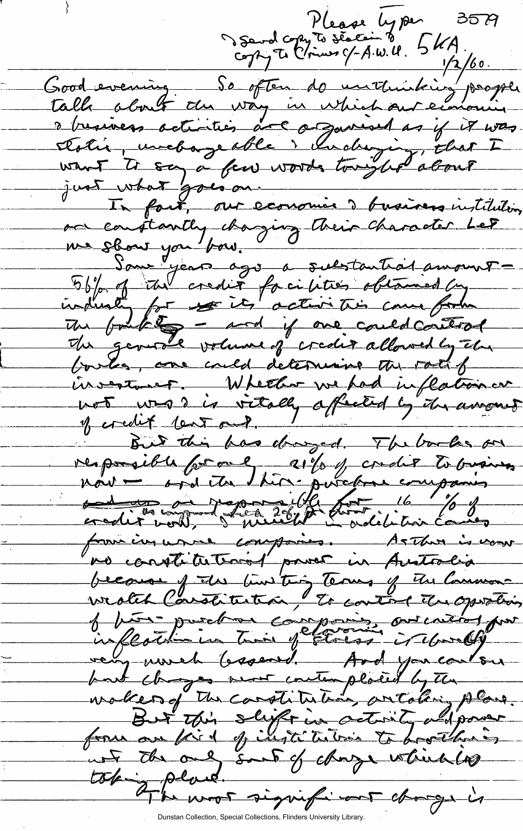Please ly per 2<br>Serol copy to section to 5 KA 35 P  $1/2/60$ . Good evening \_ So often do unitividais people a business activities are argument as if it was Ebolie, unebageable i chalugig that I<br>want Is say a few words tonight about In fact, our economie devairers institution on constantly changing their character Let Sant year ago a substantial amount The fourthting - and if one could control The general volume of credit allowed by the boules, one could determine the rate of invertiment. Whether we had inflation on not was is vitally affected by the amount of credit learned. But this has doinged. The books on responsible for one allo f condit to business formé injurne composites. As That is now no constitution power in Australia because of the time thing Terms of the Common wealth Carstitution, to control the operation of hors purchase companie out critical por very worch baseard. And you contour but though not contemplated by the makes of the constitution, oritaling plane.<br>But this slight in activity adparent unt the only sont of change which hope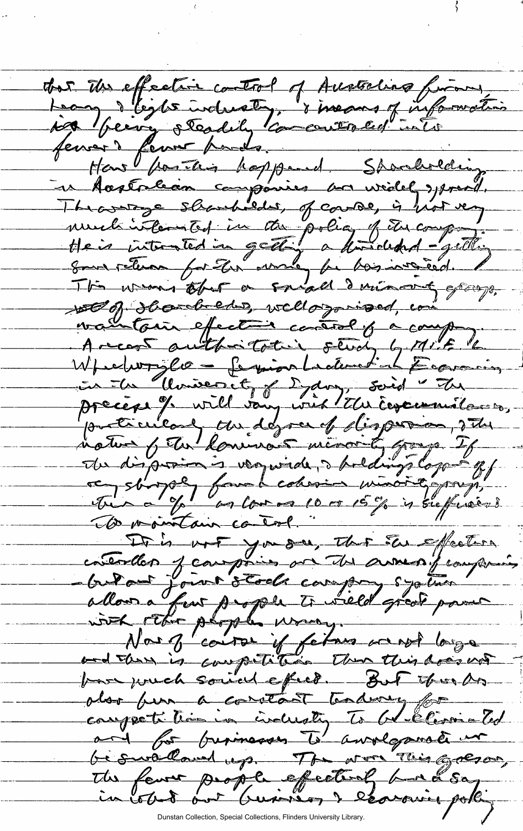dur des effective control of Austrians from jog being steadily commentatief into Hans for This hoppend. Shouldering et Acatalian componier va widel sproil.<br>Theorroge slautedes, of course, is hot very much interested in the policy of the composition wellof thank eds, wellogoised, com waintain effective control of a comp Arcant authoritative study by MIF 16 Wfeelwry lo - ferion Ladematich Economies in Monseout, aug vir There en 17 Journal des departs dispersion, 274 To vointain careol. contextlan jeanpouis on the East feature.<br>Cultour jaur stock company systems and there is competition than this does not bar wich sound effect. But this As alor fun a corretant traducy for competi time in inclusty to be constanted and for provinces to awolganate un be swalland up. The work This gregor, The fewer people effectively bund say collect out business & essering polle

Dunstan Collection, Special Collections, Flinders University Library.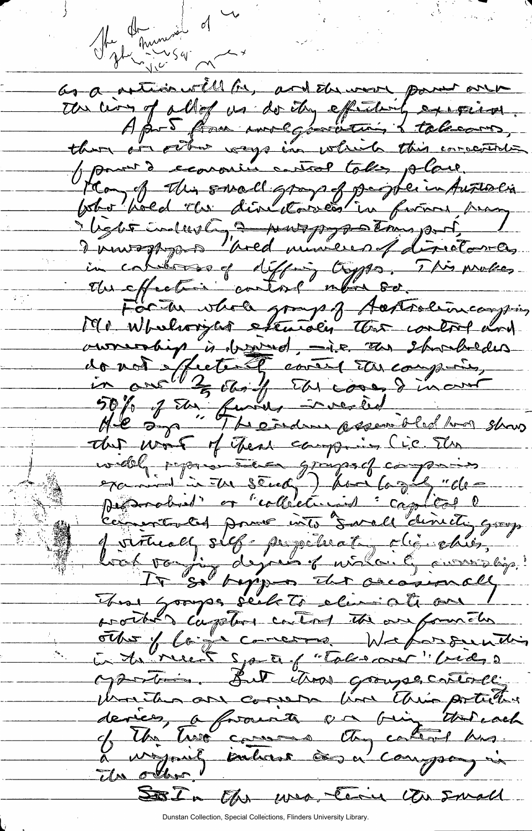The things of the as a metion will be, and the work power one the time of all of us do the effectively exercises. Apr 5 Am molgovation & talecom, there are other ways in which this corrected power decoroning control take place. Hay of this swall grays of peoplein Australia Verte industry a nouspoppe tous port I now approach "pred musicies of director as in colibras of diffing types. This mokes. Forthe whole group of Actordion company Mr Whelioryler estematic the control and aumentig à derived, is au stratedus<br>donot effecte à contre tarcoupir, The was of Thear camping (ic The widel paparente graps of composite produit et "collecturing : captical l Commenced pour unico suralle dinichi group Joinal silf populat rigidien. That Googles seck to elimicate on prother coupter castod the aufommeter other of large correspondent weborrounding En to neet spart of "toles are " (red, 2 Martin But thos groups catterle United and comers line this portions deries, a france a rig thereach of the live causes they cannot has. L'unifonity interst às a company in Sola Oh usa Cery Un Small

Dunstan Collection, Special Collections, Flinders University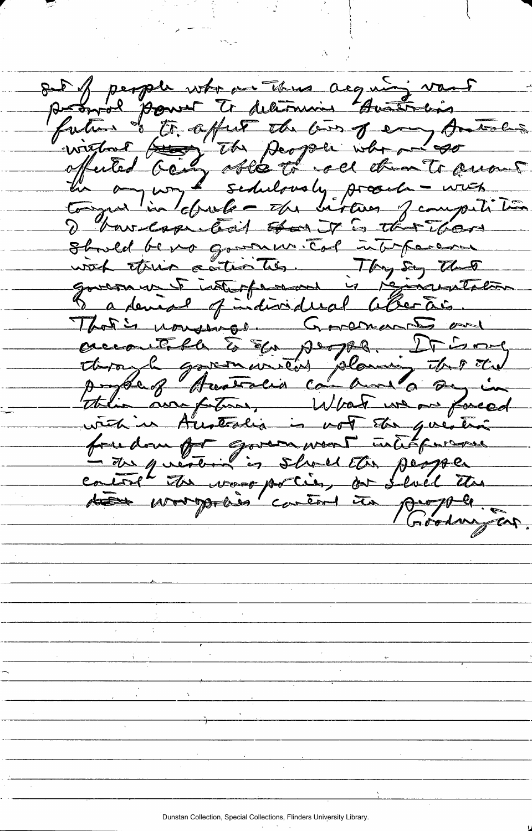out perper who in this acquisitions of the form of the comment of the form of the comment of the the comment of the the comment of the comment of the comment of the comment of the comment of the comment of the comment of t I have easy took that there Stould be no governor Top interparament vich étrin autorités. Thyse the That's usualings. Governants and accoutéle à Eu people. It is me this arrafters, What we are forced victim Australia in vot der question control the wave policy for fluid the du propolis content in propole. (réadmyson.

Dunstan Collection, Special Collections, Flinders University Library.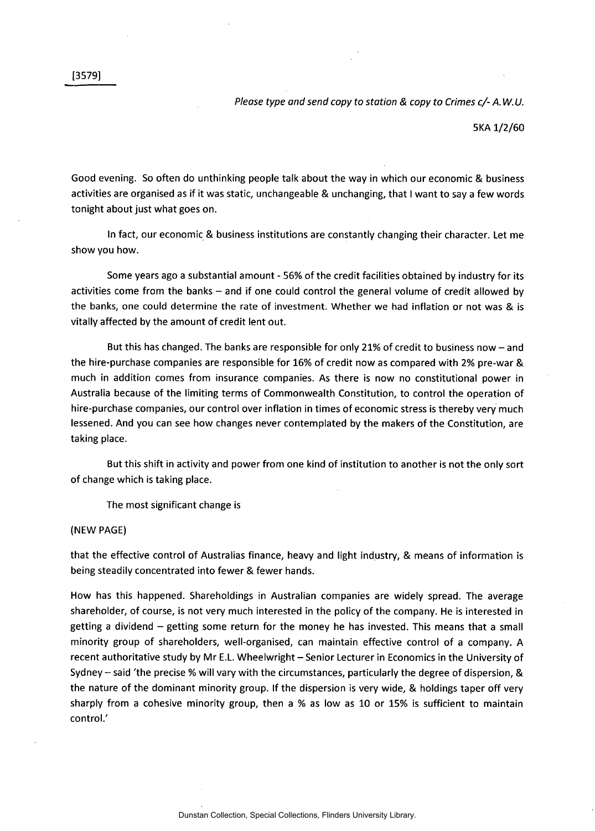5KA 1/2/60

Good evening. So often do unthinking people talk about the way in which our economic & business activities are organised as if it was static, unchangeable & unchanging, that I want to say a few words tonight about just what goes on.

In fact, our economic & business institutions are constantly changing their character. Let me show you how.

Some years ago a substantial amount - 56% of the credit facilities obtained by industry for its activities come from the banks – and if one could control the general volume of credit allowed by the banks, one could determine the rate of investment. Whether we had inflation or not was & is vitally affected by the amount of credit lent out.

But this has changed. The banks are responsible for only 21% of credit to business now - and the hire-purchase companies are responsible for 16% of credit now as compared with 2% pre-war & much in addition comes from insurance companies. As there is now no constitutional power in Australia because of the limiting terms of Commonwealth Constitution, to control the operation of hire-purchase companies, our control over inflation in times of economic stress is thereby very much lessened. And you can see how changes never contemplated by the makers of the Constitution, are taking place.

But this shift in activity and power from one kind of institution to another is not the only sort of change which is taking place.

The most significant change is

## (NEW PAGE)

that the effective control of Australias finance, heavy and light industry, & means of information is being steadily concentrated into fewer & fewer hands.

How has this happened. Shareholdings in Australian companies are widely spread. The average shareholder, of course, is not very much interested in the policy of the company. He is interested in getting a dividend - getting some return for the money he has invested. This means that a small minority group of shareholders, well-organised, can maintain effective control of a company. A recent authoritative study by Mr E.L. Wheelwright - Senior Lecturer in Economics in the University of Sydney - said 'the precise % will vary with the circumstances, particularly the degree of dispersion, & the nature of the dominant minority group. If the dispersion is very wide, & holdings taper off very sharply from a cohesive minority group, then a % as low as 10 or 15% is sufficient to maintain control.'